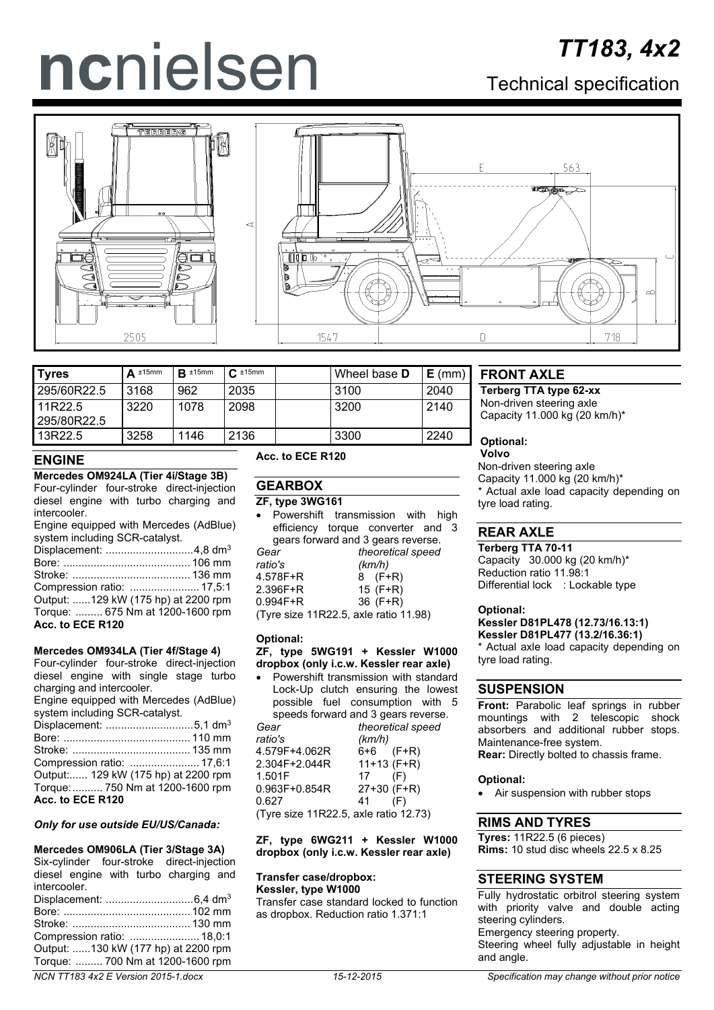# ncnielsen

# *TT183, 4x2*

Technical specification





| <b>Tyres</b>           | $\Delta$ ±15mm | $R \pm 15$ mm | $C_{\cdot}$ ±15mm | Wheel base <b>D</b> | $E$ (mm) |        |
|------------------------|----------------|---------------|-------------------|---------------------|----------|--------|
| 295/60R22.5            | 3168           | 962           | 2035              | 3100                | 2040     |        |
| 11R22.5<br>295/80R22.5 | 3220           | 1078          | 2098              | 3200                | 2140     | N<br>C |
| 13R22.5                | 3258           | 1146          | 2136              | 3300                | 2240     | C      |

# **ENGINE**

**Mercedes OM924LA (Tier 4i/Stage 3B)** Four-cylinder four-stroke direct-injection

diesel engine with turbo charging and intercooler. Engine equipped with Mercedes (AdBlue)

| system including SCR-catalyst.      |  |
|-------------------------------------|--|
|                                     |  |
|                                     |  |
|                                     |  |
| Compression ratio:  17,5:1          |  |
| Output: 129 kW (175 hp) at 2200 rpm |  |
| Torque:  675 Nm at 1200-1600 rpm    |  |
| Acc. to ECE R120                    |  |

#### **Mercedes OM934LA (Tier 4f/Stage 4)**

Four-cylinder four-stroke direct-injection diesel engine with single stage turbo charging and intercooler.

Engine equipped with Mercedes (AdBlue) system including SCR-catalyst.

|                  | Displacement: 5,1 dm <sup>3</sup>   |
|------------------|-------------------------------------|
|                  |                                     |
|                  |                                     |
|                  |                                     |
|                  | Output: 129 kW (175 hp) at 2200 rpm |
|                  | Torque:  750 Nm at 1200-1600 rpm    |
| Acc. to ECE R120 |                                     |

#### *Only for use outside EU/US/Canada:*

#### **Mercedes OM906LA (Tier 3/Stage 3A)**

Six-cylinder four-stroke direct-injection diesel engine with turbo charging and intercooler. Displacement: .............................6,4 dm3 Bore: .......................................... 102 mm Stroke: ....................................... 130 mm Compression ratio: ....................... 18,0:1 Output: ......130 kW (177 hp) at 2200 rpm Torque: ......... 700 Nm at 1200-1600 rpm

#### **Acc. to ECE R120**

# **GEARBOX**

**ZF, type 3WG161**

|              | Powershift transmission with high     |  |
|--------------|---------------------------------------|--|
|              | efficiency torque converter and 3     |  |
|              | gears forward and 3 gears reverse.    |  |
| Gear         | theoretical speed                     |  |
| ratio's      | (km/h)                                |  |
| 4.578F+R     | $8$ (F+R)                             |  |
| $2.396F + R$ | 15 $(F+R)$                            |  |
| $0.994F + R$ | 36 $(F+R)$                            |  |
|              | (Tyre size 11R22.5, axle ratio 11.98) |  |

#### **Optional:**

#### **ZF, type 5WG191 + Kessler W1000 dropbox (only i.c.w. Kessler rear axle)**

|                                       | Powershift transmission with standard |  |  |
|---------------------------------------|---------------------------------------|--|--|
|                                       | Lock-Up clutch ensuring the lowest    |  |  |
|                                       | possible fuel consumption with 5      |  |  |
|                                       | speeds forward and 3 gears reverse.   |  |  |
| Gear                                  | theoretical speed                     |  |  |
| ratio's                               | (km/h)                                |  |  |
| 4.579F+4.062R                         | 6+6 (F+R)                             |  |  |
| 2.304F+2.044R                         | $11+13$ (F+R)                         |  |  |
| 1.501F                                | 17<br>(F)                             |  |  |
| $0.963F + 0.854R$                     | 27+30 (F+R)                           |  |  |
| 0.627                                 | 41<br>(F)                             |  |  |
| (Tyre size 11R22.5, axle ratio 12.73) |                                       |  |  |

**ZF, type 6WG211 + Kessler W1000 dropbox (only i.c.w. Kessler rear axle)**

#### **Transfer case/dropbox: Kessler, type W1000**

Transfer case standard locked to function as dropbox. Reduction ratio 1.371:1

# **FRONT AXLE**

**Terberg TTA type 62-xx** Ion-driven steering axle apacity 11.000 kg (20 km/h)\*

**Optional:**

#### **Volvo**

Non-driven steering axle Capacity 11.000 kg (20 km/h)\* Actual axle load capacity depending on tyre load rating.

# **REAR AXLE**

**Terberg TTA 70-11**

Capacity 30.000 kg (20 km/h)\* Reduction ratio 11.98:1 Differential lock : Lockable type

#### **Optional:**

**Kessler D81PL478 (12.73/16.13:1) Kessler D81PL477 (13.2/16.36:1)**

Actual axle load capacity depending on tyre load rating.

#### **SUSPENSION**

**Front:** Parabolic leaf springs in rubber mountings with 2 telescopic shock absorbers and additional rubber stops. Maintenance-free system. **Rear:** Directly bolted to chassis frame.

#### **Optional:**

• Air suspension with rubber stops

# **RIMS AND TYRES**

**Tyres:** 11R22.5 (6 pieces) **Rims:** 10 stud disc wheels 22.5 x 8.25

# **STEERING SYSTEM**

Fully hydrostatic orbitrol steering system with priority valve and double acting steering cylinders. Emergency steering property. Steering wheel fully adjustable in height and angle.